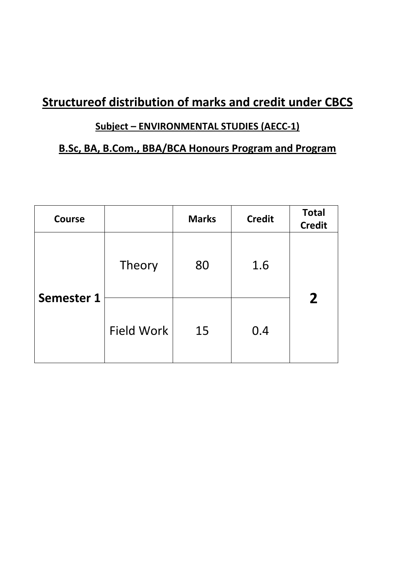# **Structureof distribution of marks and credit under CBCS**

# **Subject – ENVIRONMENTAL STUDIES (AECC-1)**

# **B.Sc, BA, B.Com., BBA/BCA Honours Program and Program**

| <b>Course</b>     |                   | <b>Marks</b> | <b>Credit</b> | <b>Total</b><br><b>Credit</b> |
|-------------------|-------------------|--------------|---------------|-------------------------------|
| <b>Semester 1</b> | Theory            | 80           | 1.6           | $\overline{2}$                |
|                   | <b>Field Work</b> | 15           | 0.4           |                               |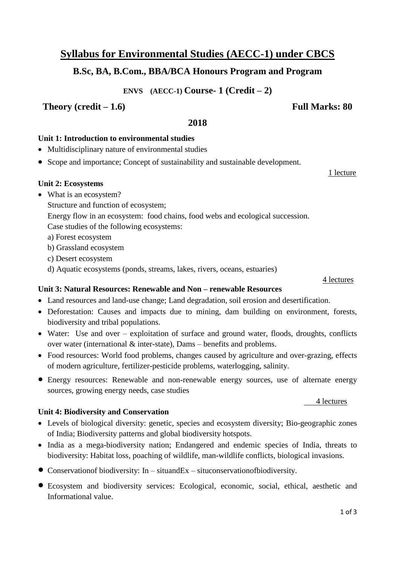# **Syllabus for Environmental Studies (AECC-1) under CBCS**

# **B.Sc, BA, B.Com., BBA/BCA Honours Program and Program**

**ENVS (AECC-1) Course- 1 (Credit – 2)**

## **Theory (credit – 1.6) Full Marks: 80**

### **2018**

## **Unit 1: Introduction to environmental studies**

- Multidisciplinary nature of environmental studies
- Scope and importance; Concept of sustainability and sustainable development.

### **Unit 2: Ecosystems**

- What is an ecosystem?
	- Structure and function of ecosystem;

Energy flow in an ecosystem: food chains, food webs and ecological succession.

Case studies of the following ecosystems:

a) Forest ecosystem

b) Grassland ecosystem

- c) Desert ecosystem
- d) Aquatic ecosystems (ponds, streams, lakes, rivers, oceans, estuaries)

### **Unit 3: Natural Resources: Renewable and Non – renewable Resources**

- Land resources and land-use change; Land degradation, soil erosion and desertification.
- Deforestation: Causes and impacts due to mining, dam building on environment, forests, biodiversity and tribal populations.
- Water: Use and over exploitation of surface and ground water, floods, droughts, conflicts over water (international & inter-state), Dams – benefits and problems.
- Food resources: World food problems, changes caused by agriculture and over-grazing, effects of modern agriculture, fertilizer-pesticide problems, waterlogging, salinity.
- Energy resources: Renewable and non-renewable energy sources, use of alternate energy sources, growing energy needs, case studies

### **Unit 4: Biodiversity and Conservation**

- Levels of biological diversity: genetic, species and ecosystem diversity; Bio-geographic zones of India; Biodiversity patterns and global biodiversity hotspots.
- India as a mega-biodiversity nation; Endangered and endemic species of India, threats to biodiversity: Habitat loss, poaching of wildlife, man-wildlife conflicts, biological invasions.
- Conservationof biodiversity: In situandEx situconservationofbiodiversity.
- Ecosystem and biodiversity services: Ecological, economic, social, ethical, aesthetic and Informational value.

### 4 lectures

1 lecture

4 lectures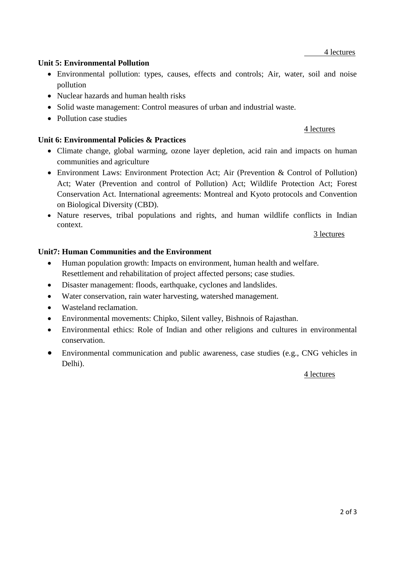### 4 lectures

### **Unit 5: Environmental Pollution**

- Environmental pollution: types, causes, effects and controls; Air, water, soil and noise pollution
- Nuclear hazards and human health risks
- Solid waste management: Control measures of urban and industrial waste.
- Pollution case studies

### **Unit 6: Environmental Policies & Practices**

- Climate change, global warming, ozone layer depletion, acid rain and impacts on human communities and agriculture
- Environment Laws: Environment Protection Act; Air (Prevention & Control of Pollution) Act; Water (Prevention and control of Pollution) Act; Wildlife Protection Act; Forest Conservation Act. International agreements: Montreal and Kyoto protocols and Convention on Biological Diversity (CBD).
- Nature reserves, tribal populations and rights, and human wildlife conflicts in Indian context.

### 3 lectures

### **Unit7: Human Communities and the Environment**

- Human population growth: Impacts on environment, human health and welfare. Resettlement and rehabilitation of project affected persons; case studies.
- Disaster management: floods, earthquake, cyclones and landslides.
- Water conservation, rain water harvesting, watershed management.
- Wasteland reclamation.
- Environmental movements: Chipko, Silent valley, Bishnois of Rajasthan.
- Environmental ethics: Role of Indian and other religions and cultures in environmental conservation.
- Environmental communication and public awareness, case studies (e.g., CNG vehicles in Delhi).

### 4 lectures

### 4 lectures